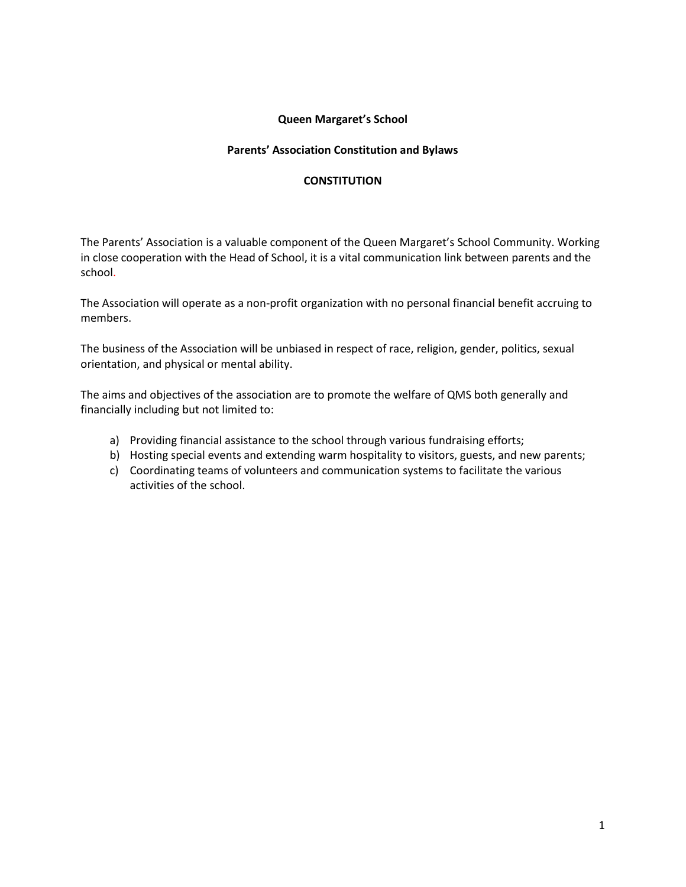## **Queen Margaret's School**

## **Parents' Association Constitution and Bylaws**

## **CONSTITUTION**

The Parents' Association is a valuable component of the Queen Margaret's School Community. Working in close cooperation with the Head of School, it is a vital communication link between parents and the school.

The Association will operate as a non-profit organization with no personal financial benefit accruing to members.

The business of the Association will be unbiased in respect of race, religion, gender, politics, sexual orientation, and physical or mental ability.

The aims and objectives of the association are to promote the welfare of QMS both generally and financially including but not limited to:

- a) Providing financial assistance to the school through various fundraising efforts;
- b) Hosting special events and extending warm hospitality to visitors, guests, and new parents;
- c) Coordinating teams of volunteers and communication systems to facilitate the various activities of the school.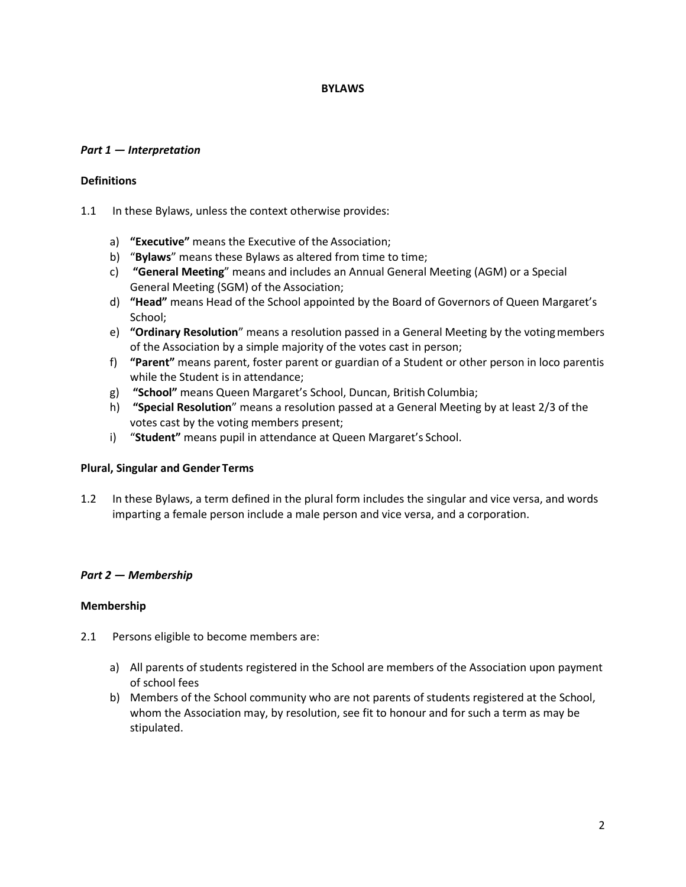### **BYLAWS**

## *Part 1 — Interpretation*

### **Definitions**

- 1.1 In these Bylaws, unless the context otherwise provides:
	- a) **"Executive"** means the Executive of the Association;
	- b) "**Bylaws**" means these Bylaws as altered from time to time;
	- c) **"General Meeting**" means and includes an Annual General Meeting (AGM) or a Special General Meeting (SGM) of the Association;
	- d) **"Head"** means Head of the School appointed by the Board of Governors of Queen Margaret's School;
	- e) **"Ordinary Resolution**" means a resolution passed in a General Meeting by the votingmembers of the Association by a simple majority of the votes cast in person;
	- f) **"Parent"** means parent, foster parent or guardian of a Student or other person in loco parentis while the Student is in attendance;
	- g) **"School"** means Queen Margaret's School, Duncan, British Columbia;
	- h) **"Special Resolution**" means a resolution passed at a General Meeting by at least 2/3 of the votes cast by the voting members present;
	- i) "**Student"** means pupil in attendance at Queen Margaret's School.

## **Plural, Singular and Gender Terms**

1.2 In these Bylaws, a term defined in the plural form includes the singular and vice versa, and words imparting a female person include a male person and vice versa, and a corporation.

## *Part 2 — Membership*

## **Membership**

- 2.1 Persons eligible to become members are:
	- a) All parents of students registered in the School are members of the Association upon payment of school fees
	- b) Members of the School community who are not parents of students registered at the School, whom the Association may, by resolution, see fit to honour and for such a term as may be stipulated.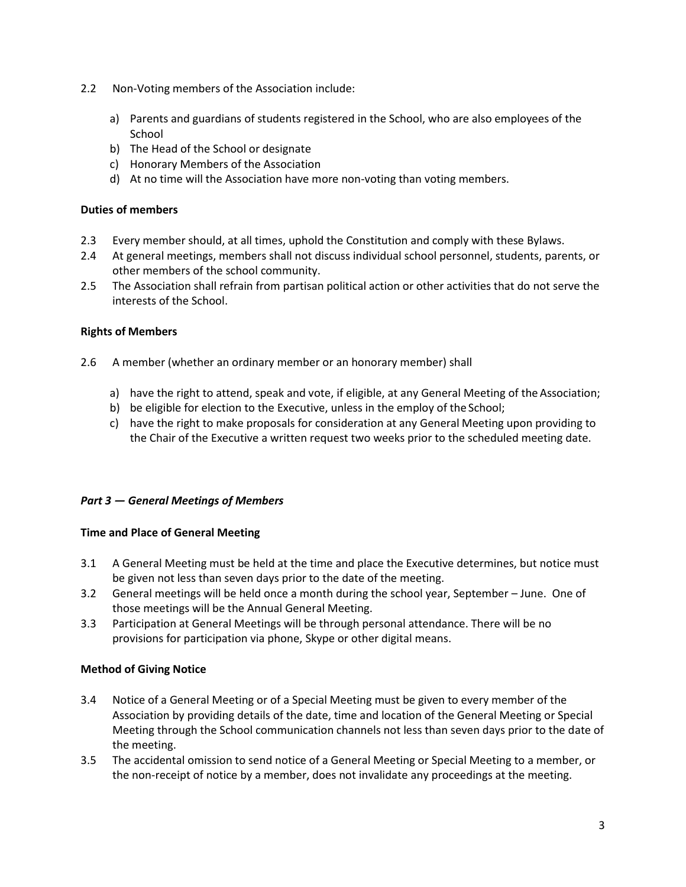- 2.2 Non-Voting members of the Association include:
	- a) Parents and guardians of students registered in the School, who are also employees of the **School**
	- b) The Head of the School or designate
	- c) Honorary Members of the Association
	- d) At no time will the Association have more non-voting than voting members.

## **Duties of members**

- 2.3 Every member should, at all times, uphold the Constitution and comply with these Bylaws.
- 2.4 At general meetings, members shall not discuss individual school personnel, students, parents, or other members of the school community.
- 2.5 The Association shall refrain from partisan political action or other activities that do not serve the interests of the School.

### **Rights of Members**

- 2.6 A member (whether an ordinary member or an honorary member) shall
	- a) have the right to attend, speak and vote, if eligible, at any General Meeting of the Association;
	- b) be eligible for election to the Executive, unless in the employ of the School;
	- c) have the right to make proposals for consideration at any General Meeting upon providing to the Chair of the Executive a written request two weeks prior to the scheduled meeting date.

## *Part 3 — General Meetings of Members*

## **Time and Place of General Meeting**

- 3.1 A General Meeting must be held at the time and place the Executive determines, but notice must be given not less than seven days prior to the date of the meeting.
- 3.2 General meetings will be held once a month during the school year, September June. One of those meetings will be the Annual General Meeting.
- 3.3 Participation at General Meetings will be through personal attendance. There will be no provisions for participation via phone, Skype or other digital means.

#### **Method of Giving Notice**

- 3.4 Notice of a General Meeting or of a Special Meeting must be given to every member of the Association by providing details of the date, time and location of the General Meeting or Special Meeting through the School communication channels not less than seven days prior to the date of the meeting.
- 3.5 The accidental omission to send notice of a General Meeting or Special Meeting to a member, or the non-receipt of notice by a member, does not invalidate any proceedings at the meeting.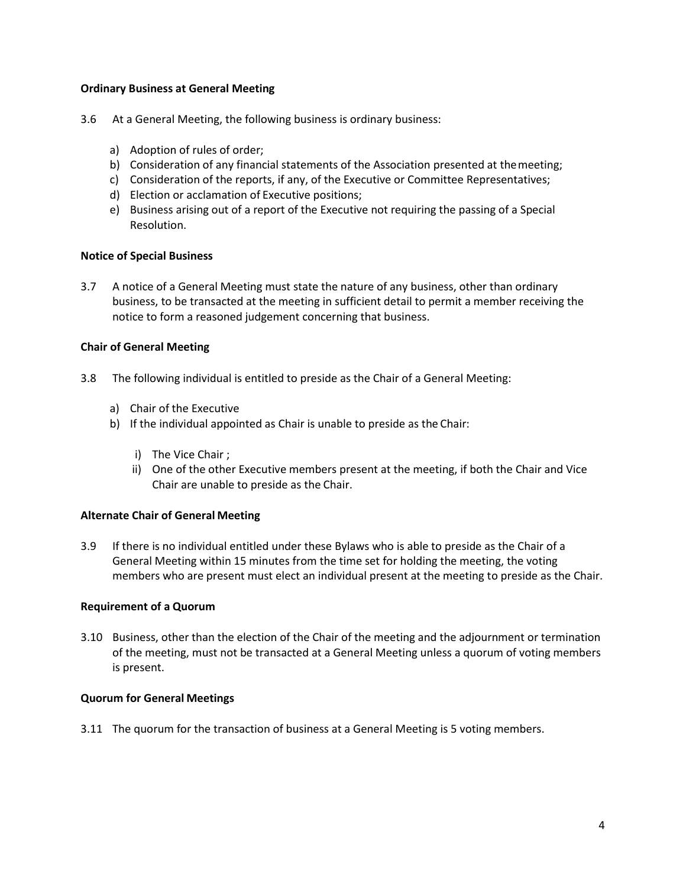## **Ordinary Business at General Meeting**

- 3.6 At a General Meeting, the following business is ordinary business:
	- a) Adoption of rules of order;
	- b) Consideration of any financial statements of the Association presented at themeeting;
	- c) Consideration of the reports, if any, of the Executive or Committee Representatives;
	- d) Election or acclamation of Executive positions;
	- e) Business arising out of a report of the Executive not requiring the passing of a Special Resolution.

## **Notice of Special Business**

3.7 A notice of a General Meeting must state the nature of any business, other than ordinary business, to be transacted at the meeting in sufficient detail to permit a member receiving the notice to form a reasoned judgement concerning that business.

# **Chair of General Meeting**

- 3.8 The following individual is entitled to preside as the Chair of a General Meeting:
	- a) Chair of the Executive
	- b) If the individual appointed as Chair is unable to preside as the Chair:
		- i) The Vice Chair ;
		- ii) One of the other Executive members present at the meeting, if both the Chair and Vice Chair are unable to preside as the Chair.

## **Alternate Chair of General Meeting**

3.9 If there is no individual entitled under these Bylaws who is able to preside as the Chair of a General Meeting within 15 minutes from the time set for holding the meeting, the voting members who are present must elect an individual present at the meeting to preside as the Chair.

## **Requirement of a Quorum**

3.10 Business, other than the election of the Chair of the meeting and the adjournment or termination of the meeting, must not be transacted at a General Meeting unless a quorum of voting members is present.

## **Quorum for General Meetings**

3.11 The quorum for the transaction of business at a General Meeting is 5 voting members.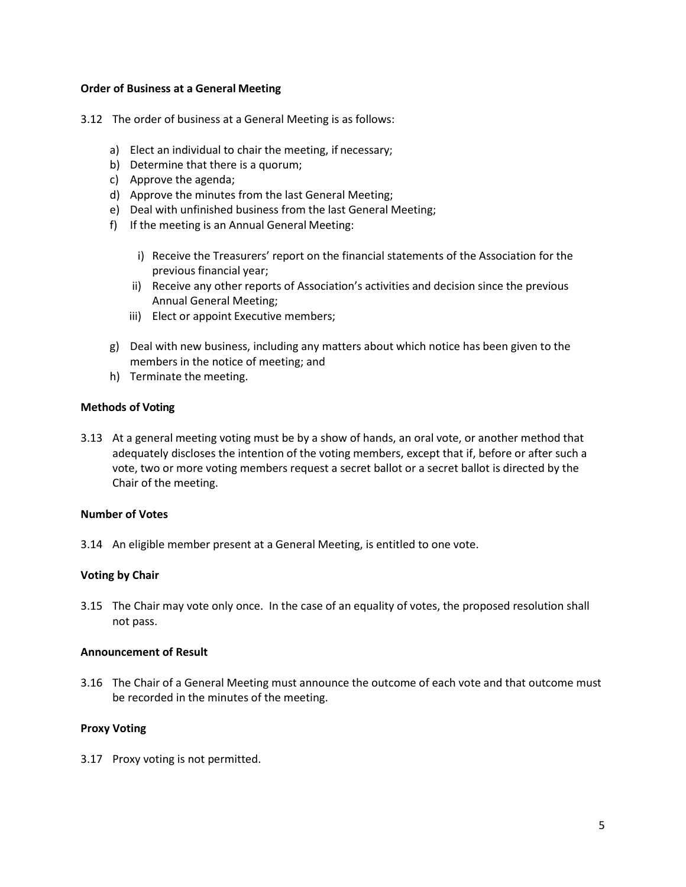#### **Order of Business at a General Meeting**

- 3.12 The order of business at a General Meeting is as follows:
	- a) Elect an individual to chair the meeting, if necessary;
	- b) Determine that there is a quorum;
	- c) Approve the agenda;
	- d) Approve the minutes from the last General Meeting;
	- e) Deal with unfinished business from the last General Meeting;
	- f) If the meeting is an Annual General Meeting:
		- i) Receive the Treasurers' report on the financial statements of the Association for the previous financial year;
		- ii) Receive any other reports of Association's activities and decision since the previous Annual General Meeting;
		- iii) Elect or appoint Executive members;
	- g) Deal with new business, including any matters about which notice has been given to the members in the notice of meeting; and
	- h) Terminate the meeting.

### **Methods of Voting**

3.13 At a general meeting voting must be by a show of hands, an oral vote, or another method that adequately discloses the intention of the voting members, except that if, before or after such a vote, two or more voting members request a secret ballot or a secret ballot is directed by the Chair of the meeting.

#### **Number of Votes**

3.14 An eligible member present at a General Meeting, is entitled to one vote.

## **Voting by Chair**

3.15 The Chair may vote only once. In the case of an equality of votes, the proposed resolution shall not pass.

#### **Announcement of Result**

3.16 The Chair of a General Meeting must announce the outcome of each vote and that outcome must be recorded in the minutes of the meeting.

## **Proxy Voting**

3.17 Proxy voting is not permitted.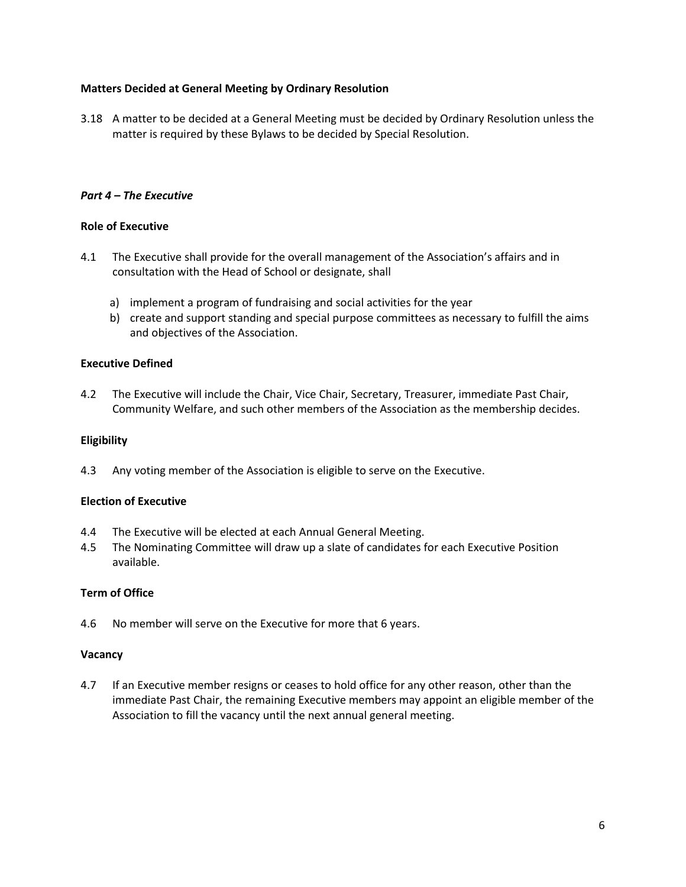## **Matters Decided at General Meeting by Ordinary Resolution**

3.18 A matter to be decided at a General Meeting must be decided by Ordinary Resolution unless the matter is required by these Bylaws to be decided by Special Resolution.

## *Part 4 – The Executive*

## **Role of Executive**

- 4.1 The Executive shall provide for the overall management of the Association's affairs and in consultation with the Head of School or designate, shall
	- a) implement a program of fundraising and social activities for the year
	- b) create and support standing and special purpose committees as necessary to fulfill the aims and objectives of the Association.

## **Executive Defined**

4.2 The Executive will include the Chair, Vice Chair, Secretary, Treasurer, immediate Past Chair, Community Welfare, and such other members of the Association as the membership decides.

## **Eligibility**

4.3 Any voting member of the Association is eligible to serve on the Executive.

# **Election of Executive**

- 4.4 The Executive will be elected at each Annual General Meeting.
- 4.5 The Nominating Committee will draw up a slate of candidates for each Executive Position available.

## **Term of Office**

4.6 No member will serve on the Executive for more that 6 years.

#### **Vacancy**

4.7 If an Executive member resigns or ceases to hold office for any other reason, other than the immediate Past Chair, the remaining Executive members may appoint an eligible member of the Association to fill the vacancy until the next annual general meeting.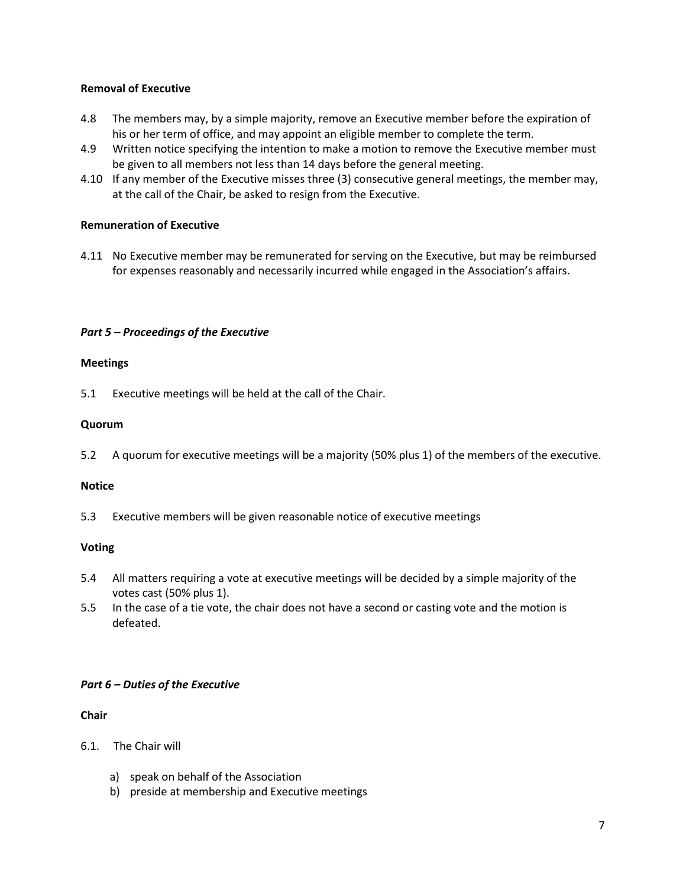## **Removal of Executive**

- 4.8 The members may, by a simple majority, remove an Executive member before the expiration of his or her term of office, and may appoint an eligible member to complete the term.
- 4.9 Written notice specifying the intention to make a motion to remove the Executive member must be given to all members not less than 14 days before the general meeting.
- 4.10 If any member of the Executive misses three (3) consecutive general meetings, the member may, at the call of the Chair, be asked to resign from the Executive.

# **Remuneration of Executive**

4.11 No Executive member may be remunerated for serving on the Executive, but may be reimbursed for expenses reasonably and necessarily incurred while engaged in the Association's affairs.

# *Part 5 – Proceedings of the Executive*

# **Meetings**

5.1 Executive meetings will be held at the call of the Chair.

# **Quorum**

5.2 A quorum for executive meetings will be a majority (50% plus 1) of the members of the executive.

## **Notice**

5.3 Executive members will be given reasonable notice of executive meetings

# **Voting**

- 5.4 All matters requiring a vote at executive meetings will be decided by a simple majority of the votes cast (50% plus 1).
- 5.5 In the case of a tie vote, the chair does not have a second or casting vote and the motion is defeated.

# *Part 6 – Duties of the Executive*

# **Chair**

- 6.1. The Chair will
	- a) speak on behalf of the Association
	- b) preside at membership and Executive meetings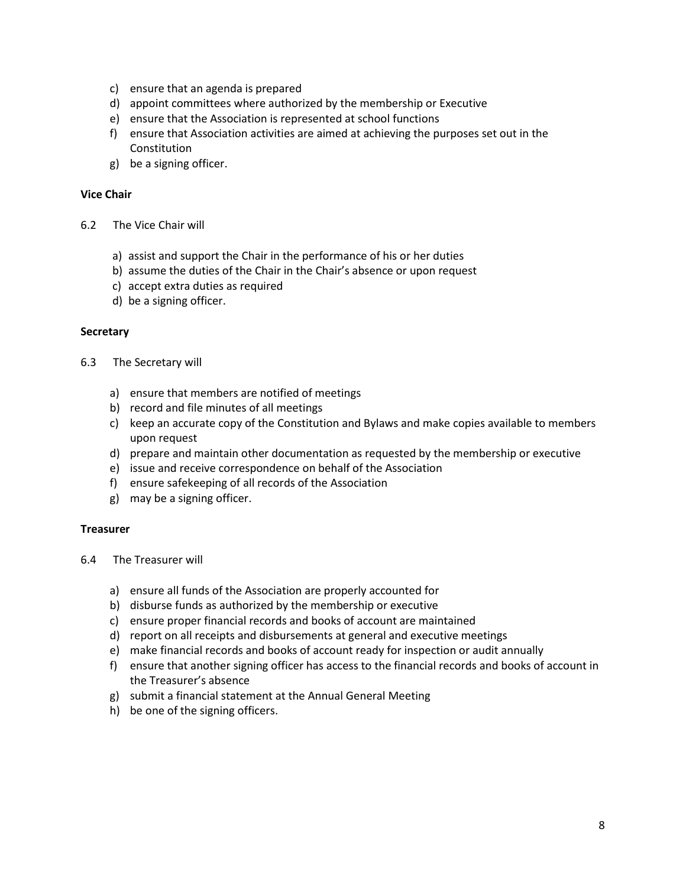- c) ensure that an agenda is prepared
- d) appoint committees where authorized by the membership or Executive
- e) ensure that the Association is represented at school functions
- f) ensure that Association activities are aimed at achieving the purposes set out in the Constitution
- g) be a signing officer.

### **Vice Chair**

- 6.2 The Vice Chair will
	- a) assist and support the Chair in the performance of his or her duties
	- b) assume the duties of the Chair in the Chair's absence or upon request
	- c) accept extra duties as required
	- d) be a signing officer.

#### **Secretary**

- 6.3 The Secretary will
	- a) ensure that members are notified of meetings
	- b) record and file minutes of all meetings
	- c) keep an accurate copy of the Constitution and Bylaws and make copies available to members upon request
	- d) prepare and maintain other documentation as requested by the membership or executive
	- e) issue and receive correspondence on behalf of the Association
	- f) ensure safekeeping of all records of the Association
	- g) may be a signing officer.

#### **Treasurer**

- 6.4 The Treasurer will
	- a) ensure all funds of the Association are properly accounted for
	- b) disburse funds as authorized by the membership or executive
	- c) ensure proper financial records and books of account are maintained
	- d) report on all receipts and disbursements at general and executive meetings
	- e) make financial records and books of account ready for inspection or audit annually
	- f) ensure that another signing officer has access to the financial records and books of account in the Treasurer's absence
	- g) submit a financial statement at the Annual General Meeting
	- h) be one of the signing officers.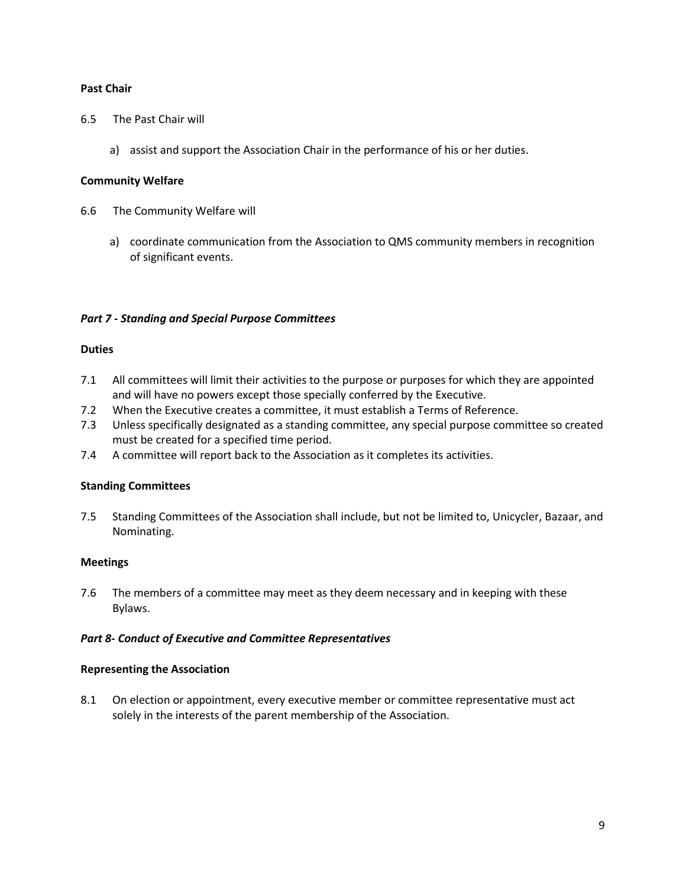## **Past Chair**

- 6.5 The Past Chair will
	- a) assist and support the Association Chair in the performance of his or her duties.

### **Community Welfare**

- 6.6 The Community Welfare will
	- a) coordinate communication from the Association to QMS community members in recognition of significant events.

### *Part 7 - Standing and Special Purpose Committees*

### **Duties**

- 7.1 All committees will limit their activities to the purpose or purposes for which they are appointed and will have no powers except those specially conferred by the Executive.
- 7.2 When the Executive creates a committee, it must establish a Terms of Reference.
- 7.3 Unless specifically designated as a standing committee, any special purpose committee so created must be created for a specified time period.
- 7.4 A committee will report back to the Association as it completes its activities.

## **Standing Committees**

7.5 Standing Committees of the Association shall include, but not be limited to, Unicycler, Bazaar, and Nominating.

## **Meetings**

7.6 The members of a committee may meet as they deem necessary and in keeping with these Bylaws.

## *Part 8- Conduct of Executive and Committee Representatives*

#### **Representing the Association**

8.1 On election or appointment, every executive member or committee representative must act solely in the interests of the parent membership of the Association.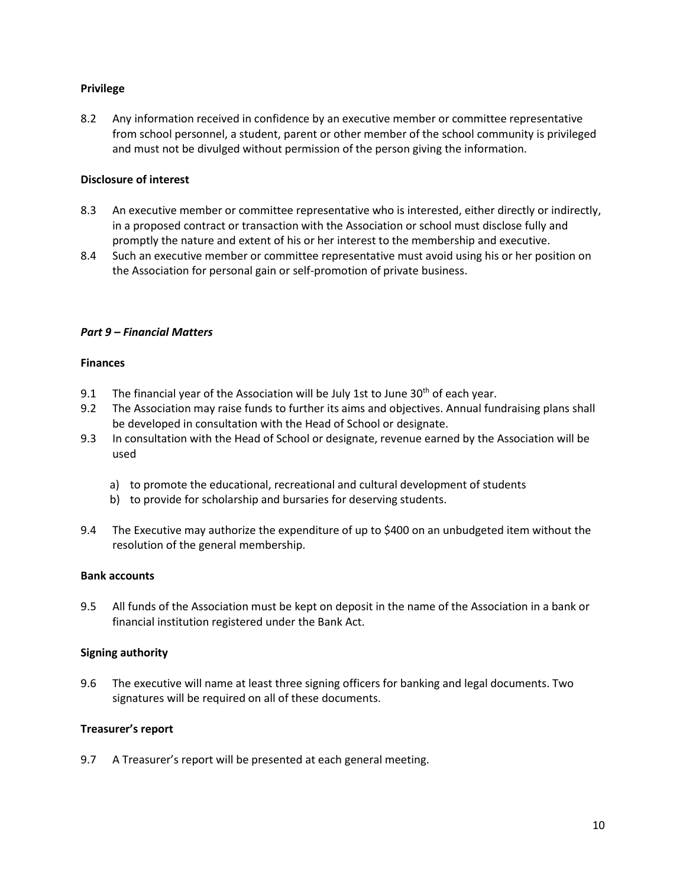## **Privilege**

8.2 Any information received in confidence by an executive member or committee representative from school personnel, a student, parent or other member of the school community is privileged and must not be divulged without permission of the person giving the information.

## **Disclosure of interest**

- 8.3 An executive member or committee representative who is interested, either directly or indirectly, in a proposed contract or transaction with the Association or school must disclose fully and promptly the nature and extent of his or her interest to the membership and executive.
- 8.4 Such an executive member or committee representative must avoid using his or her position on the Association for personal gain or self-promotion of private business.

# *Part 9 – Financial Matters*

## **Finances**

- 9.1 The financial year of the Association will be July 1st to June  $30<sup>th</sup>$  of each year.
- 9.2 The Association may raise funds to further its aims and objectives. Annual fundraising plans shall be developed in consultation with the Head of School or designate.
- 9.3 In consultation with the Head of School or designate, revenue earned by the Association will be used
	- a) to promote the educational, recreational and cultural development of students
	- b) to provide for scholarship and bursaries for deserving students.
- 9.4 The Executive may authorize the expenditure of up to \$400 on an unbudgeted item without the resolution of the general membership.

## **Bank accounts**

9.5 All funds of the Association must be kept on deposit in the name of the Association in a bank or financial institution registered under the Bank Act.

## **Signing authority**

9.6 The executive will name at least three signing officers for banking and legal documents. Two signatures will be required on all of these documents.

## **Treasurer's report**

9.7 A Treasurer's report will be presented at each general meeting.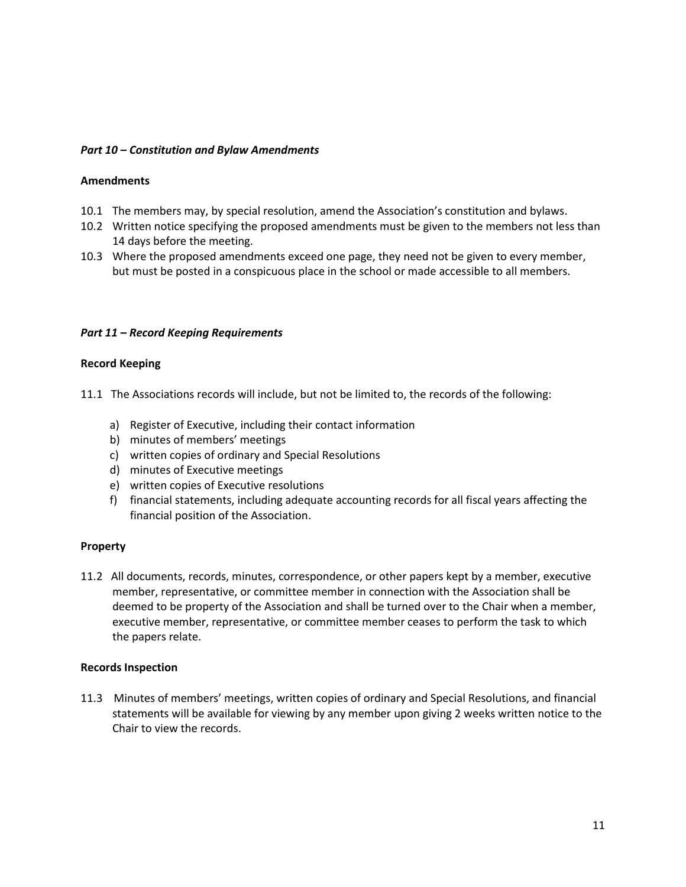## *Part 10 – Constitution and Bylaw Amendments*

### **Amendments**

- 10.1 The members may, by special resolution, amend the Association's constitution and bylaws.
- 10.2 Written notice specifying the proposed amendments must be given to the members not less than 14 days before the meeting.
- 10.3 Where the proposed amendments exceed one page, they need not be given to every member, but must be posted in a conspicuous place in the school or made accessible to all members.

## *Part 11 – Record Keeping Requirements*

### **Record Keeping**

11.1 The Associations records will include, but not be limited to, the records of the following:

- a) Register of Executive, including their contact information
- b) minutes of members' meetings
- c) written copies of ordinary and Special Resolutions
- d) minutes of Executive meetings
- e) written copies of Executive resolutions
- f) financial statements, including adequate accounting records for all fiscal years affecting the financial position of the Association.

## **Property**

11.2 All documents, records, minutes, correspondence, or other papers kept by a member, executive member, representative, or committee member in connection with the Association shall be deemed to be property of the Association and shall be turned over to the Chair when a member, executive member, representative, or committee member ceases to perform the task to which the papers relate.

#### **Records Inspection**

11.3 Minutes of members' meetings, written copies of ordinary and Special Resolutions, and financial statements will be available for viewing by any member upon giving 2 weeks written notice to the Chair to view the records.